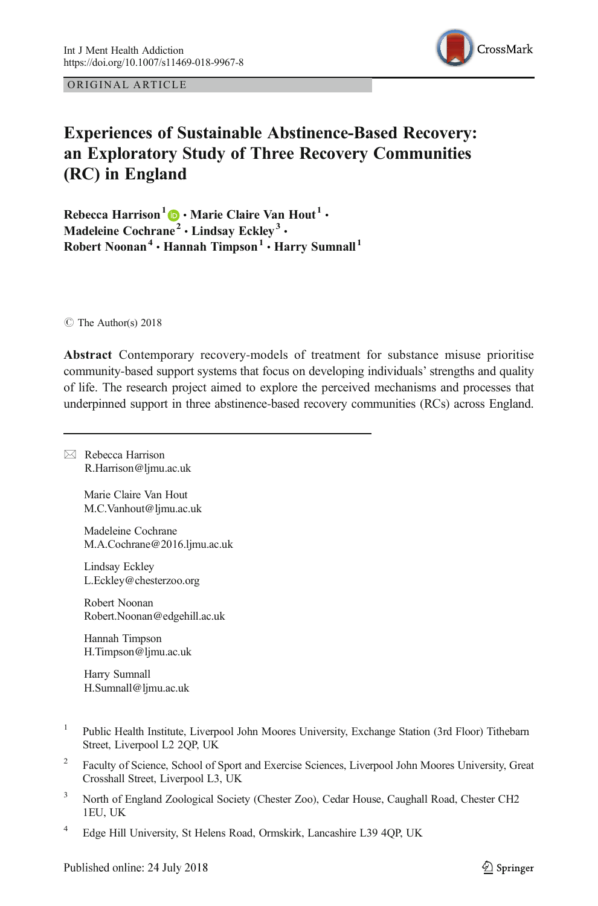

ORIGINAL ARTICLE

# Experiences of Sustainable Abstinence-Based Recovery: an Exploratory Study of Three Recovery Communities (RC) in England

Rebecca Harrison<sup>1</sup>  $\bullet$  Marie Claire Van Hout<sup>1</sup> . Madeleine Cochrane<sup>2</sup> · Lindsay Eckley<sup>3</sup> ·  $Robert Noonan<sup>4</sup> · Hannah Timoson<sup>1</sup> · Harrow Summall<sup>1</sup>$ 

 $\odot$  The Author(s) 2018

Abstract Contemporary recovery-models of treatment for substance misuse prioritise community-based support systems that focus on developing individuals' strengths and quality of life. The research project aimed to explore the perceived mechanisms and processes that underpinned support in three abstinence-based recovery communities (RCs) across England.

 $\boxtimes$  Rebecca Harrison [R.Harrison@ljmu.ac.uk](mailto:R.Harrison@ljmu.ac.uk)

> Marie Claire Van Hout M.C.Vanhout@ljmu.ac.uk

Madeleine Cochrane M.A.Cochrane@2016.ljmu.ac.uk

Lindsay Eckley L.Eckley@chesterzoo.org

Robert Noonan Robert.Noonan@edgehill.ac.uk

Hannah Timpson H.Timpson@ljmu.ac.uk

Harry Sumnall H.Sumnall@ljmu.ac.uk

- <sup>1</sup> Public Health Institute, Liverpool John Moores University, Exchange Station (3rd Floor) Tithebarn Street, Liverpool L2 2QP, UK
- <sup>2</sup> Faculty of Science, School of Sport and Exercise Sciences, Liverpool John Moores University, Great Crosshall Street, Liverpool L3, UK
- <sup>3</sup> North of England Zoological Society (Chester Zoo), Cedar House, Caughall Road, Chester CH2 1EU, UK
- <sup>4</sup> Edge Hill University, St Helens Road, Ormskirk, Lancashire L39 4QP, UK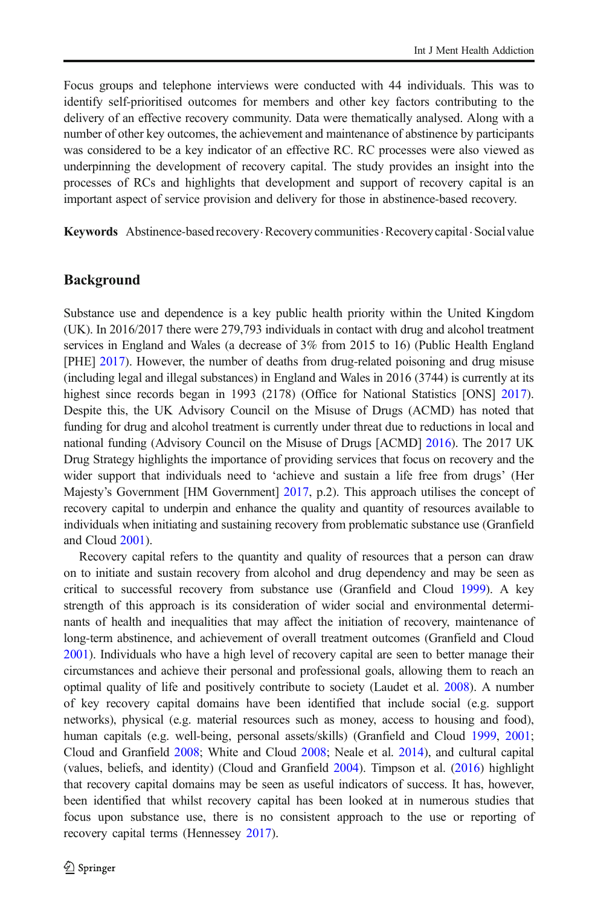Focus groups and telephone interviews were conducted with 44 individuals. This was to identify self-prioritised outcomes for members and other key factors contributing to the delivery of an effective recovery community. Data were thematically analysed. Along with a number of other key outcomes, the achievement and maintenance of abstinence by participants was considered to be a key indicator of an effective RC. RC processes were also viewed as underpinning the development of recovery capital. The study provides an insight into the processes of RCs and highlights that development and support of recovery capital is an important aspect of service provision and delivery for those in abstinence-based recovery.

Keywords Abstinence-based recovery. Recovery communities  $\cdot$  Recovery capital  $\cdot$  Social value

#### Background

Substance use and dependence is a key public health priority within the United Kingdom (UK). In 2016/2017 there were 279,793 individuals in contact with drug and alcohol treatment services in England and Wales (a decrease of 3% from 2015 to 16) (Public Health England [PHE] [2017\)](#page-16-0). However, the number of deaths from drug-related poisoning and drug misuse (including legal and illegal substances) in England and Wales in 2016 (3744) is currently at its highest since records began in 1993 (2178) (Office for National Statistics [ONS] [2017](#page-16-0)). Despite this, the UK Advisory Council on the Misuse of Drugs (ACMD) has noted that funding for drug and alcohol treatment is currently under threat due to reductions in local and national funding (Advisory Council on the Misuse of Drugs [ACMD] [2016\)](#page-14-0). The 2017 UK Drug Strategy highlights the importance of providing services that focus on recovery and the wider support that individuals need to 'achieve and sustain a life free from drugs' (Her Majesty's Government [HM Government] [2017](#page-15-0), p.2). This approach utilises the concept of recovery capital to underpin and enhance the quality and quantity of resources available to individuals when initiating and sustaining recovery from problematic substance use (Granfield and Cloud [2001\)](#page-15-0).

Recovery capital refers to the quantity and quality of resources that a person can draw on to initiate and sustain recovery from alcohol and drug dependency and may be seen as critical to successful recovery from substance use (Granfield and Cloud [1999](#page-15-0)). A key strength of this approach is its consideration of wider social and environmental determinants of health and inequalities that may affect the initiation of recovery, maintenance of long-term abstinence, and achievement of overall treatment outcomes (Granfield and Cloud [2001](#page-15-0)). Individuals who have a high level of recovery capital are seen to better manage their circumstances and achieve their personal and professional goals, allowing them to reach an optimal quality of life and positively contribute to society (Laudet et al. [2008](#page-16-0)). A number of key recovery capital domains have been identified that include social (e.g. support networks), physical (e.g. material resources such as money, access to housing and food), human capitals (e.g. well-being, personal assets/skills) (Granfield and Cloud [1999,](#page-15-0) [2001](#page-15-0); Cloud and Granfield [2008;](#page-15-0) White and Cloud [2008;](#page-17-0) Neale et al. [2014\)](#page-16-0), and cultural capital (values, beliefs, and identity) (Cloud and Granfield [2004\)](#page-15-0). Timpson et al. [\(2016\)](#page-17-0) highlight that recovery capital domains may be seen as useful indicators of success. It has, however, been identified that whilst recovery capital has been looked at in numerous studies that focus upon substance use, there is no consistent approach to the use or reporting of recovery capital terms (Hennessey [2017](#page-15-0)).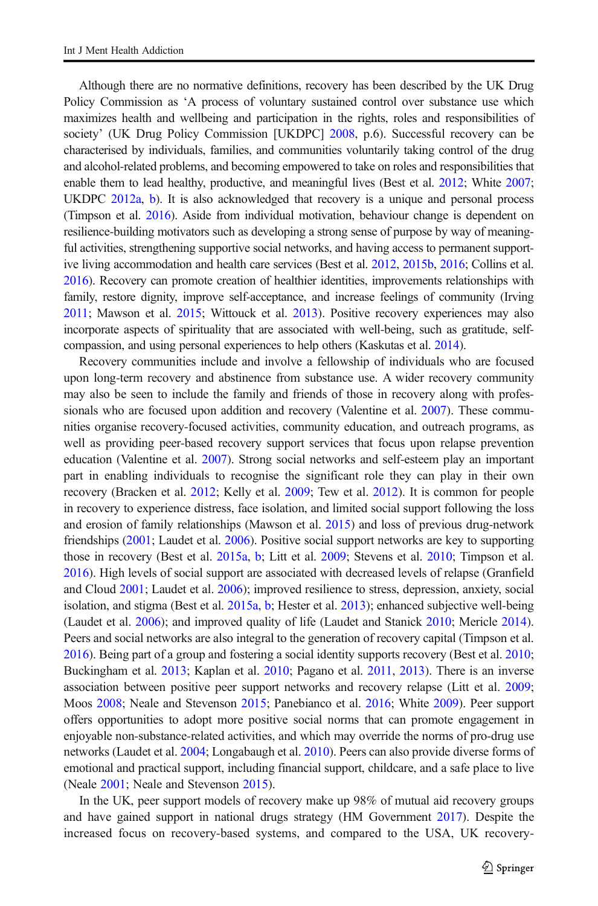Although there are no normative definitions, recovery has been described by the UK Drug Policy Commission as 'A process of voluntary sustained control over substance use which maximizes health and wellbeing and participation in the rights, roles and responsibilities of society' (UK Drug Policy Commission [UKDPC] [2008,](#page-17-0) p.6). Successful recovery can be characterised by individuals, families, and communities voluntarily taking control of the drug and alcohol-related problems, and becoming empowered to take on roles and responsibilities that enable them to lead healthy, productive, and meaningful lives (Best et al. [2012;](#page-14-0) White [2007](#page-17-0); UKDPC [2012a,](#page-17-0) [b](#page-17-0)). It is also acknowledged that recovery is a unique and personal process (Timpson et al. [2016\)](#page-17-0). Aside from individual motivation, behaviour change is dependent on resilience-building motivators such as developing a strong sense of purpose by way of meaningful activities, strengthening supportive social networks, and having access to permanent supportive living accommodation and health care services (Best et al. [2012](#page-14-0), [2015b,](#page-14-0) [2016;](#page-14-0) Collins et al. [2016\)](#page-15-0). Recovery can promote creation of healthier identities, improvements relationships with family, restore dignity, improve self-acceptance, and increase feelings of community (Irving [2011;](#page-15-0) Mawson et al. [2015](#page-16-0); Wittouck et al. [2013\)](#page-17-0). Positive recovery experiences may also incorporate aspects of spirituality that are associated with well-being, such as gratitude, selfcompassion, and using personal experiences to help others (Kaskutas et al. [2014\)](#page-15-0).

Recovery communities include and involve a fellowship of individuals who are focused upon long-term recovery and abstinence from substance use. A wider recovery community may also be seen to include the family and friends of those in recovery along with professionals who are focused upon addition and recovery (Valentine et al. [2007](#page-17-0)). These communities organise recovery-focused activities, community education, and outreach programs, as well as providing peer-based recovery support services that focus upon relapse prevention education (Valentine et al. [2007\)](#page-17-0). Strong social networks and self-esteem play an important part in enabling individuals to recognise the significant role they can play in their own recovery (Bracken et al. [2012;](#page-15-0) Kelly et al. [2009;](#page-15-0) Tew et al. [2012\)](#page-17-0). It is common for people in recovery to experience distress, face isolation, and limited social support following the loss and erosion of family relationships (Mawson et al. [2015\)](#page-16-0) and loss of previous drug-network friendships ([2001](#page-15-0); Laudet et al. [2006\)](#page-16-0). Positive social support networks are key to supporting those in recovery (Best et al. [2015a,](#page-14-0) [b](#page-14-0); Litt et al. [2009;](#page-16-0) Stevens et al. [2010](#page-16-0); Timpson et al. [2016](#page-17-0)). High levels of social support are associated with decreased levels of relapse (Granfield and Cloud [2001](#page-15-0); Laudet et al. [2006](#page-16-0)); improved resilience to stress, depression, anxiety, social isolation, and stigma (Best et al. [2015a,](#page-14-0) [b](#page-14-0); Hester et al. [2013](#page-15-0)); enhanced subjective well-being (Laudet et al. [2006](#page-16-0)); and improved quality of life (Laudet and Stanick [2010;](#page-15-0) Mericle [2014](#page-16-0)). Peers and social networks are also integral to the generation of recovery capital (Timpson et al. [2016](#page-17-0)). Being part of a group and fostering a social identity supports recovery (Best et al. [2010](#page-14-0); Buckingham et al. [2013](#page-15-0); Kaplan et al. [2010;](#page-15-0) Pagano et al. [2011](#page-16-0), [2013](#page-16-0)). There is an inverse association between positive peer support networks and recovery relapse (Litt et al. [2009](#page-16-0); Moos [2008;](#page-16-0) Neale and Stevenson [2015;](#page-16-0) Panebianco et al. [2016](#page-16-0); White [2009](#page-17-0)). Peer support offers opportunities to adopt more positive social norms that can promote engagement in enjoyable non-substance-related activities, and which may override the norms of pro-drug use networks (Laudet et al. [2004](#page-16-0); Longabaugh et al. [2010](#page-16-0)). Peers can also provide diverse forms of emotional and practical support, including financial support, childcare, and a safe place to live (Neale [2001](#page-16-0); Neale and Stevenson [2015](#page-16-0)).

In the UK, peer support models of recovery make up 98% of mutual aid recovery groups and have gained support in national drugs strategy (HM Government [2017\)](#page-15-0). Despite the increased focus on recovery-based systems, and compared to the USA, UK recovery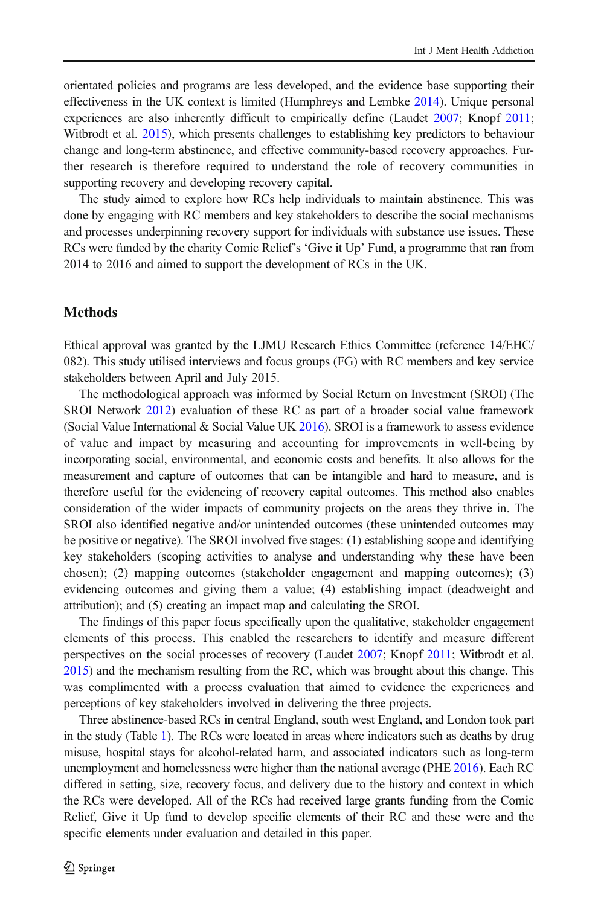orientated policies and programs are less developed, and the evidence base supporting their effectiveness in the UK context is limited (Humphreys and Lembke [2014](#page-15-0)). Unique personal experiences are also inherently difficult to empirically define (Laudet [2007](#page-15-0); Knopf [2011](#page-15-0); Witbrodt et al. [2015](#page-17-0)), which presents challenges to establishing key predictors to behaviour change and long-term abstinence, and effective community-based recovery approaches. Further research is therefore required to understand the role of recovery communities in supporting recovery and developing recovery capital.

The study aimed to explore how RCs help individuals to maintain abstinence. This was done by engaging with RC members and key stakeholders to describe the social mechanisms and processes underpinning recovery support for individuals with substance use issues. These RCs were funded by the charity Comic Relief's 'Give it Up' Fund, a programme that ran from 2014 to 2016 and aimed to support the development of RCs in the UK.

### **Methods**

Ethical approval was granted by the LJMU Research Ethics Committee (reference 14/EHC/ 082). This study utilised interviews and focus groups (FG) with RC members and key service stakeholders between April and July 2015.

The methodological approach was informed by Social Return on Investment (SROI) (The SROI Network [2012\)](#page-16-0) evaluation of these RC as part of a broader social value framework (Social Value International & Social Value UK  $2016$ ). SROI is a framework to assess evidence of value and impact by measuring and accounting for improvements in well-being by incorporating social, environmental, and economic costs and benefits. It also allows for the measurement and capture of outcomes that can be intangible and hard to measure, and is therefore useful for the evidencing of recovery capital outcomes. This method also enables consideration of the wider impacts of community projects on the areas they thrive in. The SROI also identified negative and/or unintended outcomes (these unintended outcomes may be positive or negative). The SROI involved five stages: (1) establishing scope and identifying key stakeholders (scoping activities to analyse and understanding why these have been chosen); (2) mapping outcomes (stakeholder engagement and mapping outcomes); (3) evidencing outcomes and giving them a value; (4) establishing impact (deadweight and attribution); and (5) creating an impact map and calculating the SROI.

The findings of this paper focus specifically upon the qualitative, stakeholder engagement elements of this process. This enabled the researchers to identify and measure different perspectives on the social processes of recovery (Laudet [2007](#page-15-0); Knopf [2011](#page-15-0); Witbrodt et al. [2015](#page-17-0)) and the mechanism resulting from the RC, which was brought about this change. This was complimented with a process evaluation that aimed to evidence the experiences and perceptions of key stakeholders involved in delivering the three projects.

Three abstinence-based RCs in central England, south west England, and London took part in the study (Table [1\)](#page-5-0). The RCs were located in areas where indicators such as deaths by drug misuse, hospital stays for alcohol-related harm, and associated indicators such as long-term unemployment and homelessness were higher than the national average (PHE [2016](#page-16-0)). Each RC differed in setting, size, recovery focus, and delivery due to the history and context in which the RCs were developed. All of the RCs had received large grants funding from the Comic Relief, Give it Up fund to develop specific elements of their RC and these were and the specific elements under evaluation and detailed in this paper.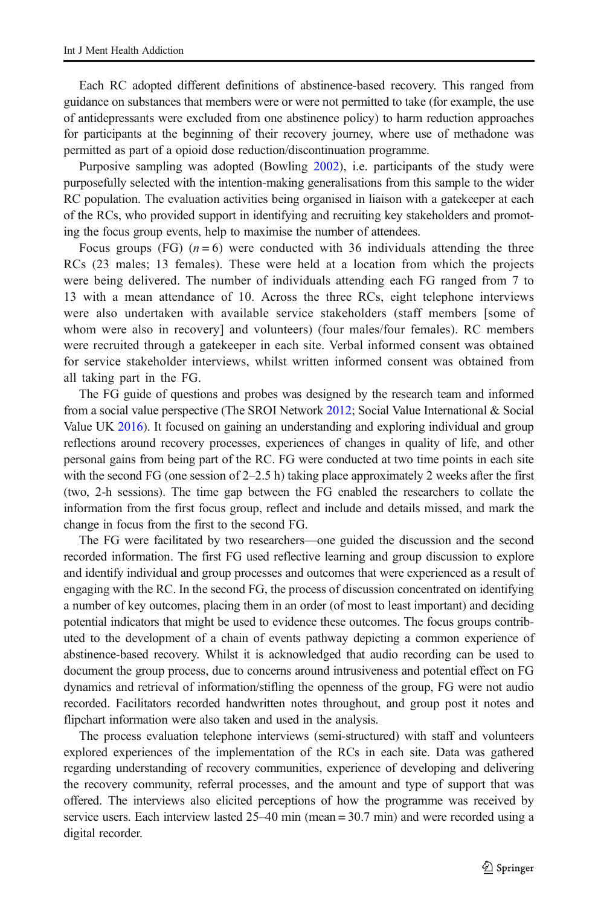Each RC adopted different definitions of abstinence-based recovery. This ranged from guidance on substances that members were or were not permitted to take (for example, the use of antidepressants were excluded from one abstinence policy) to harm reduction approaches for participants at the beginning of their recovery journey, where use of methadone was permitted as part of a opioid dose reduction/discontinuation programme.

Purposive sampling was adopted (Bowling [2002](#page-14-0)), i.e. participants of the study were purposefully selected with the intention-making generalisations from this sample to the wider RC population. The evaluation activities being organised in liaison with a gatekeeper at each of the RCs, who provided support in identifying and recruiting key stakeholders and promoting the focus group events, help to maximise the number of attendees.

Focus groups (FG)  $(n=6)$  were conducted with 36 individuals attending the three RCs (23 males; 13 females). These were held at a location from which the projects were being delivered. The number of individuals attending each FG ranged from 7 to 13 with a mean attendance of 10. Across the three RCs, eight telephone interviews were also undertaken with available service stakeholders (staff members [some of whom were also in recovery] and volunteers) (four males/four females). RC members were recruited through a gatekeeper in each site. Verbal informed consent was obtained for service stakeholder interviews, whilst written informed consent was obtained from all taking part in the FG.

The FG guide of questions and probes was designed by the research team and informed from a social value perspective (The SROI Network [2012](#page-16-0); Social Value International & Social Value UK [2016](#page-16-0)). It focused on gaining an understanding and exploring individual and group reflections around recovery processes, experiences of changes in quality of life, and other personal gains from being part of the RC. FG were conducted at two time points in each site with the second FG (one session of  $2-2.5$  h) taking place approximately 2 weeks after the first (two, 2-h sessions). The time gap between the FG enabled the researchers to collate the information from the first focus group, reflect and include and details missed, and mark the change in focus from the first to the second FG.

The FG were facilitated by two researchers—one guided the discussion and the second recorded information. The first FG used reflective learning and group discussion to explore and identify individual and group processes and outcomes that were experienced as a result of engaging with the RC. In the second FG, the process of discussion concentrated on identifying a number of key outcomes, placing them in an order (of most to least important) and deciding potential indicators that might be used to evidence these outcomes. The focus groups contributed to the development of a chain of events pathway depicting a common experience of abstinence-based recovery. Whilst it is acknowledged that audio recording can be used to document the group process, due to concerns around intrusiveness and potential effect on FG dynamics and retrieval of information/stifling the openness of the group, FG were not audio recorded. Facilitators recorded handwritten notes throughout, and group post it notes and flipchart information were also taken and used in the analysis.

The process evaluation telephone interviews (semi-structured) with staff and volunteers explored experiences of the implementation of the RCs in each site. Data was gathered regarding understanding of recovery communities, experience of developing and delivering the recovery community, referral processes, and the amount and type of support that was offered. The interviews also elicited perceptions of how the programme was received by service users. Each interview lasted 25–40 min (mean = 30.7 min) and were recorded using a digital recorder.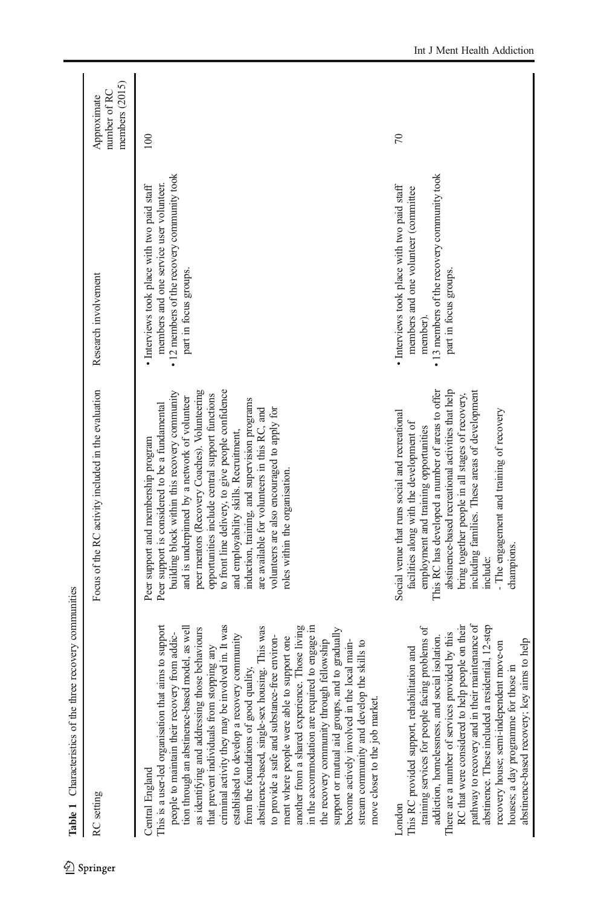<span id="page-5-0"></span>

| Table 1 Characteristics of the three recovery communities                                                                                                                                                                                                                                                                                                                                                                                                                                                                                                                                                                                                                                                                                                                                                                                                                                                           |                                                                                                                                                                                                                                                                                                                                                                                                                                                                                                                                                                             |                                                                                                                                                                         |                                               |
|---------------------------------------------------------------------------------------------------------------------------------------------------------------------------------------------------------------------------------------------------------------------------------------------------------------------------------------------------------------------------------------------------------------------------------------------------------------------------------------------------------------------------------------------------------------------------------------------------------------------------------------------------------------------------------------------------------------------------------------------------------------------------------------------------------------------------------------------------------------------------------------------------------------------|-----------------------------------------------------------------------------------------------------------------------------------------------------------------------------------------------------------------------------------------------------------------------------------------------------------------------------------------------------------------------------------------------------------------------------------------------------------------------------------------------------------------------------------------------------------------------------|-------------------------------------------------------------------------------------------------------------------------------------------------------------------------|-----------------------------------------------|
| RC setting                                                                                                                                                                                                                                                                                                                                                                                                                                                                                                                                                                                                                                                                                                                                                                                                                                                                                                          | Focus of the RC activity included in the evaluation                                                                                                                                                                                                                                                                                                                                                                                                                                                                                                                         | Research involvement                                                                                                                                                    | members (2015)<br>number of RC<br>Approximate |
| criminal activity they may be involved in. It was<br>to engage in<br>This is a user-led organisation that aims to support<br>Those living<br>tion through an abstinence-based model, as well<br>from the foundations of good quality,<br>abstinence-based, single-sex housing. This was<br>as identifying and addressing those behaviours<br>support or mutual aid groups, and to gradually<br>people to maintain their recovery from addic-<br>established to develop a recovery community<br>to provide a safe and substance-free environ-<br>ment where people were able to support one<br>the recovery community through fellowship<br>become actively involved in the local main-<br>skills to<br>that prevent individuals from stopping any<br>stream community and develop the<br>in the accommodation are required<br>another from a shared experience.<br>move closer to the job market<br>Central England | peer mentors (Recovery Coaches). Volunteering<br>to front line delivery, to give people confidence<br>building block within this recovery community<br>opportunities include central support functions<br>and is underpinned by a network of volunteer<br>induction, training, and supervision programs<br>Peer support is considered to be a fundamental<br>are available for volunteers in this RC, and<br>volunteers are also encouraged to apply for<br>and employability skills. Recruitment,<br>Peer support and membership program<br>roles within the organisation. | • 12 members of the recovery community took<br>members and one service user volunteer.<br>· Interviews took place with two paid staff<br>part in focus groups.          | 100                                           |
| pathway to recovery and in their maintenance of<br>RC that were considered to help people on their<br>abstinence. These included a residential, 12-step<br>problems of<br>There are a number of services provided by this<br>isolation.<br>s to help<br>recovery house; semi-independent move-on<br>This RC provided support, rehabilitation and<br>houses; a day programme for those in<br>training services for people facing<br>addiction, homelessness, and social<br>abstinence-based recovery; key aim<br>London                                                                                                                                                                                                                                                                                                                                                                                              | This RC has developed a number of areas to offer<br>abstinence-based recreational activities that help<br>including families. These areas of development<br>bring together people in all stages of recovery,<br>- The engagement and training of recovery<br>Social venue that runs social and recreational<br>facilities along with the development of<br>employment and training opportunities<br>champions.<br>include:                                                                                                                                                  | • 13 members of the recovery community took<br>· Interviews took place with two paid staff<br>members and one volunteer (committee<br>part in focus groups.<br>member). | $\sqrt{2}$                                    |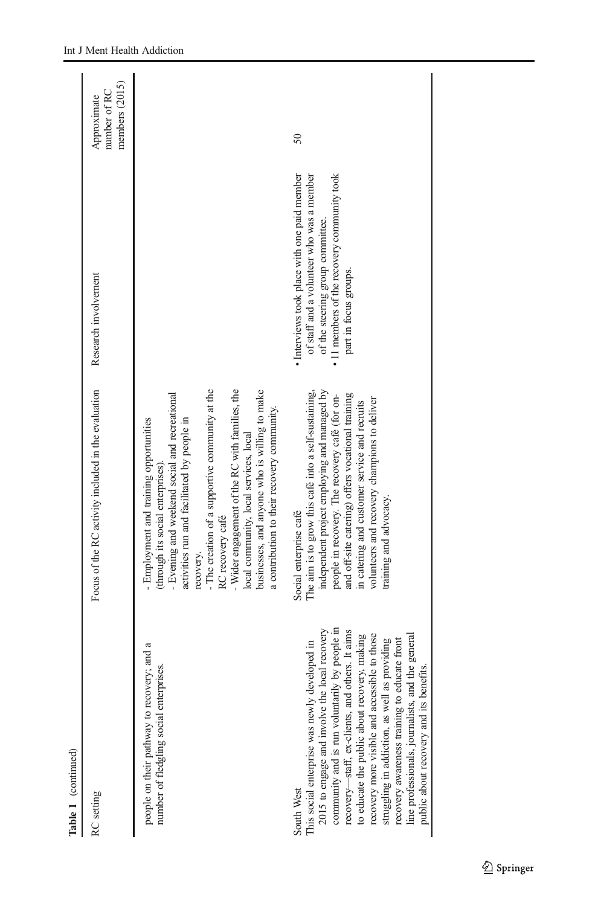| Table 1 (continued)                                                                                                                                                                                                                                                                                                                                                                                                                                                                                                    |                                                                                                                                                                                                                                                                                                                                                                                                                                                               |                                                                                                                                                                                                       |                                                 |
|------------------------------------------------------------------------------------------------------------------------------------------------------------------------------------------------------------------------------------------------------------------------------------------------------------------------------------------------------------------------------------------------------------------------------------------------------------------------------------------------------------------------|---------------------------------------------------------------------------------------------------------------------------------------------------------------------------------------------------------------------------------------------------------------------------------------------------------------------------------------------------------------------------------------------------------------------------------------------------------------|-------------------------------------------------------------------------------------------------------------------------------------------------------------------------------------------------------|-------------------------------------------------|
| RC setting                                                                                                                                                                                                                                                                                                                                                                                                                                                                                                             | Focus of the RC activity included in the evaluation                                                                                                                                                                                                                                                                                                                                                                                                           | Research involvement                                                                                                                                                                                  | members $(2015)$<br>number of RC<br>Approximate |
| people on their pathway to recovery; and a<br>number of fledgling social enterprises.                                                                                                                                                                                                                                                                                                                                                                                                                                  | - The creation of a supportive community at the<br>- Wider engagement of the RC with families, the<br>businesses, and anyone who is willing to make<br>- Evening and weekend social and recreational<br>a contribution to their recovery community.<br>activities run and facilitated by people in<br>- Employment and training opportunities<br>local community, local services, local<br>(through its social enterprises).<br>RC recovery café<br>recovery. |                                                                                                                                                                                                       |                                                 |
| community and is run voluntarily by people in<br>recovery-staff, ex-clients, and others. It aims<br>2015 to engage and involve the local recovery<br>to educate the public about recovery, making<br>recovery more visible and accessible to those<br>line professionals, journalists, and the general<br>providing<br>recovery awareness training to educate front<br>This social enterprise was newly developed in<br>public about recovery and its benefits.<br>struggling in addiction, as well as p<br>South West | independent project employing and managed by<br>The aim is to grow this café into a self-sustaining,<br>and off-site catering) offers vocational training<br>people in recovery. The recovery café (for on-<br>volunteers and recovery champions to deliver<br>in catering and customer service and recruits<br>training and advocacy.<br>Social enterprise café                                                                                              | · Interviews took place with one paid member<br>of staff and a volunteer who was a member<br>• 11 members of the recovery community took<br>of the steering group committee.<br>part in focus groups. | 50                                              |
|                                                                                                                                                                                                                                                                                                                                                                                                                                                                                                                        |                                                                                                                                                                                                                                                                                                                                                                                                                                                               |                                                                                                                                                                                                       |                                                 |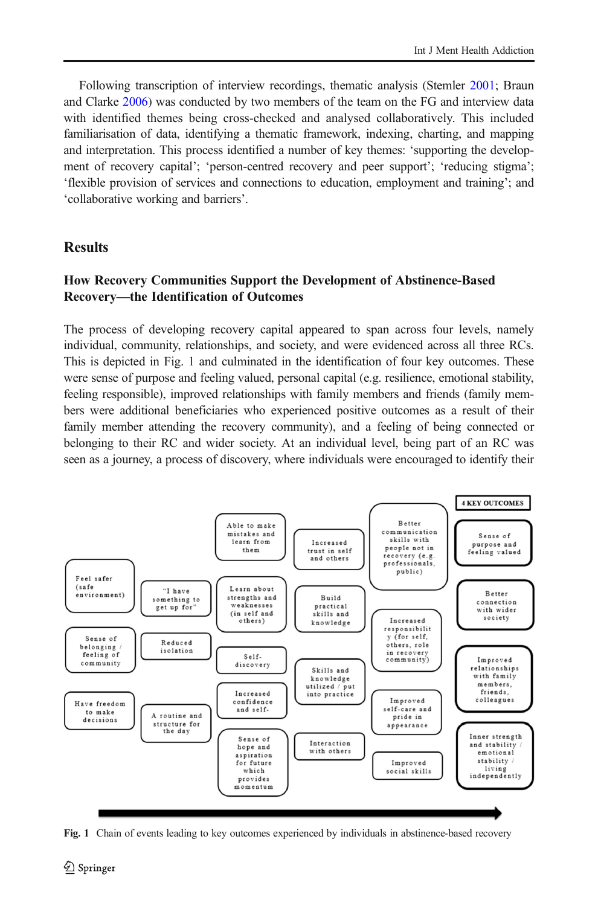Following transcription of interview recordings, thematic analysis (Stemler [2001;](#page-16-0) Braun and Clarke [2006\)](#page-15-0) was conducted by two members of the team on the FG and interview data with identified themes being cross-checked and analysed collaboratively. This included familiarisation of data, identifying a thematic framework, indexing, charting, and mapping and interpretation. This process identified a number of key themes: 'supporting the development of recovery capital'; 'person-centred recovery and peer support'; 'reducing stigma'; 'flexible provision of services and connections to education, employment and training'; and 'collaborative working and barriers'.

## Results

## How Recovery Communities Support the Development of Abstinence-Based Recovery—the Identification of Outcomes

The process of developing recovery capital appeared to span across four levels, namely individual, community, relationships, and society, and were evidenced across all three RCs. This is depicted in Fig. 1 and culminated in the identification of four key outcomes. These were sense of purpose and feeling valued, personal capital (e.g. resilience, emotional stability, feeling responsible), improved relationships with family members and friends (family members were additional beneficiaries who experienced positive outcomes as a result of their family member attending the recovery community), and a feeling of being connected or belonging to their RC and wider society. At an individual level, being part of an RC was seen as a journey, a process of discovery, where individuals were encouraged to identify their



Fig. 1 Chain of events leading to key outcomes experienced by individuals in abstinence-based recovery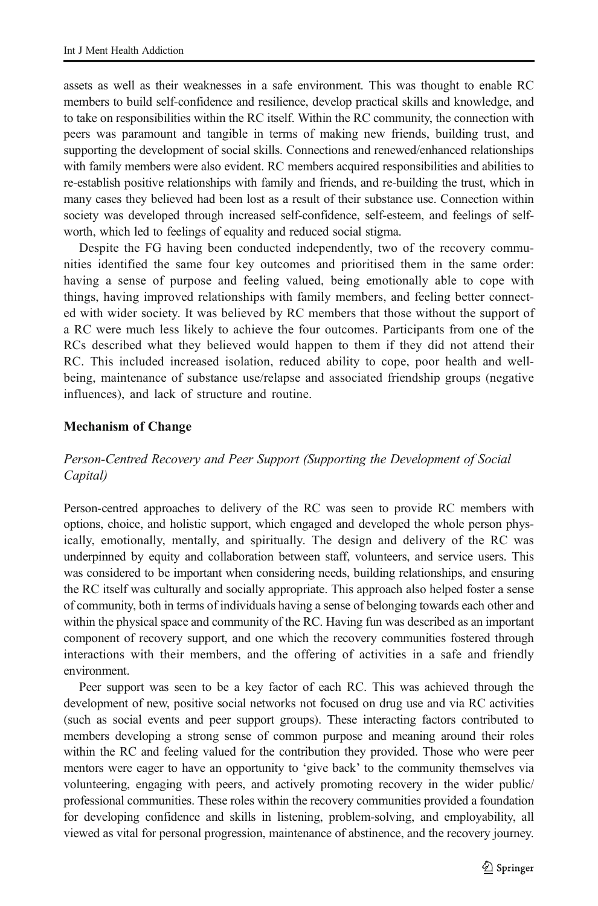assets as well as their weaknesses in a safe environment. This was thought to enable RC members to build self-confidence and resilience, develop practical skills and knowledge, and to take on responsibilities within the RC itself. Within the RC community, the connection with peers was paramount and tangible in terms of making new friends, building trust, and supporting the development of social skills. Connections and renewed/enhanced relationships with family members were also evident. RC members acquired responsibilities and abilities to re-establish positive relationships with family and friends, and re-building the trust, which in many cases they believed had been lost as a result of their substance use. Connection within society was developed through increased self-confidence, self-esteem, and feelings of selfworth, which led to feelings of equality and reduced social stigma.

Despite the FG having been conducted independently, two of the recovery communities identified the same four key outcomes and prioritised them in the same order: having a sense of purpose and feeling valued, being emotionally able to cope with things, having improved relationships with family members, and feeling better connected with wider society. It was believed by RC members that those without the support of a RC were much less likely to achieve the four outcomes. Participants from one of the RCs described what they believed would happen to them if they did not attend their RC. This included increased isolation, reduced ability to cope, poor health and wellbeing, maintenance of substance use/relapse and associated friendship groups (negative influences), and lack of structure and routine.

#### Mechanism of Change

## Person-Centred Recovery and Peer Support (Supporting the Development of Social Capital)

Person-centred approaches to delivery of the RC was seen to provide RC members with options, choice, and holistic support, which engaged and developed the whole person physically, emotionally, mentally, and spiritually. The design and delivery of the RC was underpinned by equity and collaboration between staff, volunteers, and service users. This was considered to be important when considering needs, building relationships, and ensuring the RC itself was culturally and socially appropriate. This approach also helped foster a sense of community, both in terms of individuals having a sense of belonging towards each other and within the physical space and community of the RC. Having fun was described as an important component of recovery support, and one which the recovery communities fostered through interactions with their members, and the offering of activities in a safe and friendly environment.

Peer support was seen to be a key factor of each RC. This was achieved through the development of new, positive social networks not focused on drug use and via RC activities (such as social events and peer support groups). These interacting factors contributed to members developing a strong sense of common purpose and meaning around their roles within the RC and feeling valued for the contribution they provided. Those who were peer mentors were eager to have an opportunity to 'give back' to the community themselves via volunteering, engaging with peers, and actively promoting recovery in the wider public/ professional communities. These roles within the recovery communities provided a foundation for developing confidence and skills in listening, problem-solving, and employability, all viewed as vital for personal progression, maintenance of abstinence, and the recovery journey.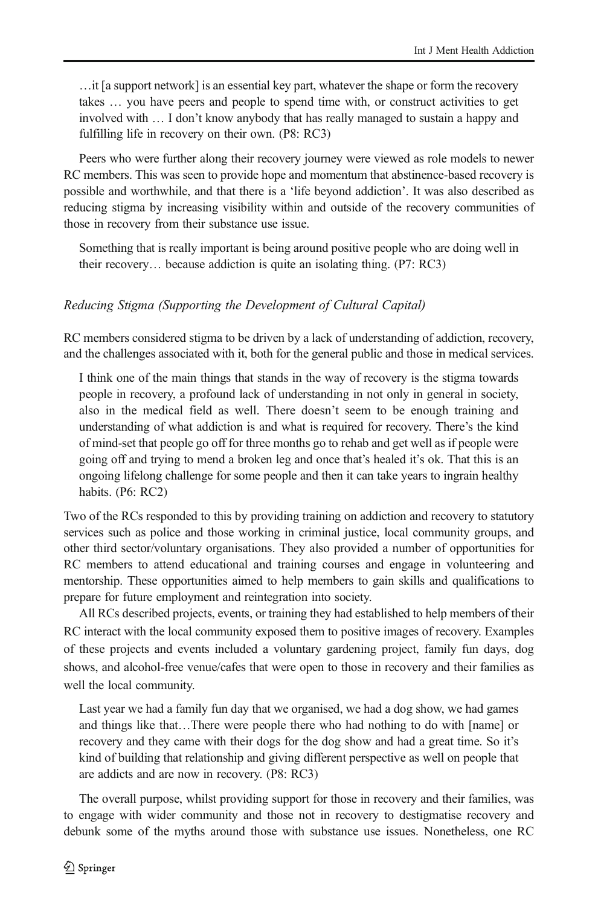…it [a support network] is an essential key part, whatever the shape or form the recovery takes … you have peers and people to spend time with, or construct activities to get involved with … I don't know anybody that has really managed to sustain a happy and fulfilling life in recovery on their own. (P8: RC3)

Peers who were further along their recovery journey were viewed as role models to newer RC members. This was seen to provide hope and momentum that abstinence-based recovery is possible and worthwhile, and that there is a 'life beyond addiction'. It was also described as reducing stigma by increasing visibility within and outside of the recovery communities of those in recovery from their substance use issue.

Something that is really important is being around positive people who are doing well in their recovery… because addiction is quite an isolating thing. (P7: RC3)

## Reducing Stigma (Supporting the Development of Cultural Capital)

RC members considered stigma to be driven by a lack of understanding of addiction, recovery, and the challenges associated with it, both for the general public and those in medical services.

I think one of the main things that stands in the way of recovery is the stigma towards people in recovery, a profound lack of understanding in not only in general in society, also in the medical field as well. There doesn't seem to be enough training and understanding of what addiction is and what is required for recovery. There's the kind of mind-set that people go off for three months go to rehab and get well as if people were going off and trying to mend a broken leg and once that's healed it's ok. That this is an ongoing lifelong challenge for some people and then it can take years to ingrain healthy habits. (P6: RC2)

Two of the RCs responded to this by providing training on addiction and recovery to statutory services such as police and those working in criminal justice, local community groups, and other third sector/voluntary organisations. They also provided a number of opportunities for RC members to attend educational and training courses and engage in volunteering and mentorship. These opportunities aimed to help members to gain skills and qualifications to prepare for future employment and reintegration into society.

All RCs described projects, events, or training they had established to help members of their RC interact with the local community exposed them to positive images of recovery. Examples of these projects and events included a voluntary gardening project, family fun days, dog shows, and alcohol-free venue/cafes that were open to those in recovery and their families as well the local community.

Last year we had a family fun day that we organised, we had a dog show, we had games and things like that…There were people there who had nothing to do with [name] or recovery and they came with their dogs for the dog show and had a great time. So it's kind of building that relationship and giving different perspective as well on people that are addicts and are now in recovery. (P8: RC3)

The overall purpose, whilst providing support for those in recovery and their families, was to engage with wider community and those not in recovery to destigmatise recovery and debunk some of the myths around those with substance use issues. Nonetheless, one RC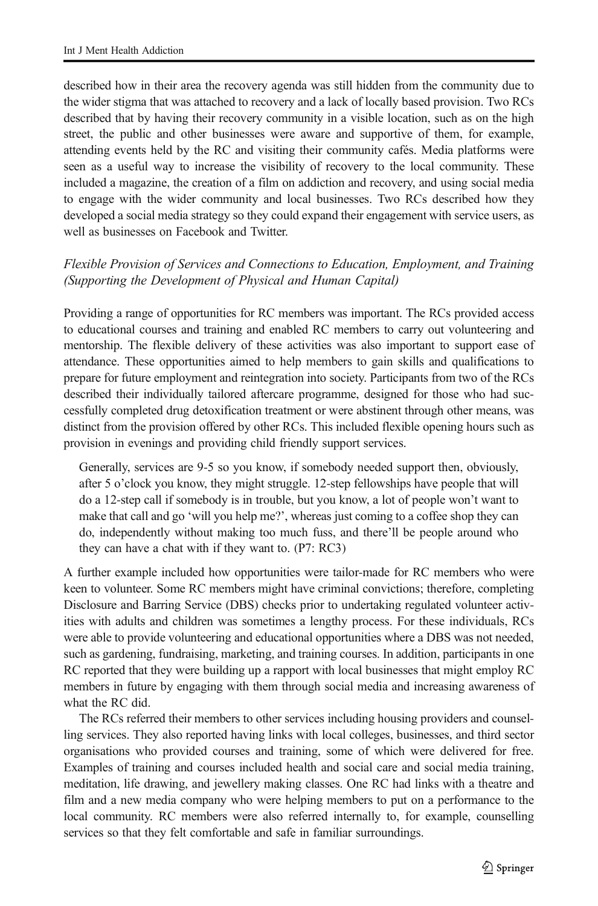described how in their area the recovery agenda was still hidden from the community due to the wider stigma that was attached to recovery and a lack of locally based provision. Two RCs described that by having their recovery community in a visible location, such as on the high street, the public and other businesses were aware and supportive of them, for example, attending events held by the RC and visiting their community cafés. Media platforms were seen as a useful way to increase the visibility of recovery to the local community. These included a magazine, the creation of a film on addiction and recovery, and using social media to engage with the wider community and local businesses. Two RCs described how they developed a social media strategy so they could expand their engagement with service users, as well as businesses on Facebook and Twitter.

## Flexible Provision of Services and Connections to Education, Employment, and Training (Supporting the Development of Physical and Human Capital)

Providing a range of opportunities for RC members was important. The RCs provided access to educational courses and training and enabled RC members to carry out volunteering and mentorship. The flexible delivery of these activities was also important to support ease of attendance. These opportunities aimed to help members to gain skills and qualifications to prepare for future employment and reintegration into society. Participants from two of the RCs described their individually tailored aftercare programme, designed for those who had successfully completed drug detoxification treatment or were abstinent through other means, was distinct from the provision offered by other RCs. This included flexible opening hours such as provision in evenings and providing child friendly support services.

Generally, services are 9-5 so you know, if somebody needed support then, obviously, after 5 o'clock you know, they might struggle. 12-step fellowships have people that will do a 12-step call if somebody is in trouble, but you know, a lot of people won't want to make that call and go 'will you help me?', whereas just coming to a coffee shop they can do, independently without making too much fuss, and there'll be people around who they can have a chat with if they want to. (P7: RC3)

A further example included how opportunities were tailor-made for RC members who were keen to volunteer. Some RC members might have criminal convictions; therefore, completing Disclosure and Barring Service (DBS) checks prior to undertaking regulated volunteer activities with adults and children was sometimes a lengthy process. For these individuals, RCs were able to provide volunteering and educational opportunities where a DBS was not needed, such as gardening, fundraising, marketing, and training courses. In addition, participants in one RC reported that they were building up a rapport with local businesses that might employ RC members in future by engaging with them through social media and increasing awareness of what the RC did.

The RCs referred their members to other services including housing providers and counselling services. They also reported having links with local colleges, businesses, and third sector organisations who provided courses and training, some of which were delivered for free. Examples of training and courses included health and social care and social media training, meditation, life drawing, and jewellery making classes. One RC had links with a theatre and film and a new media company who were helping members to put on a performance to the local community. RC members were also referred internally to, for example, counselling services so that they felt comfortable and safe in familiar surroundings.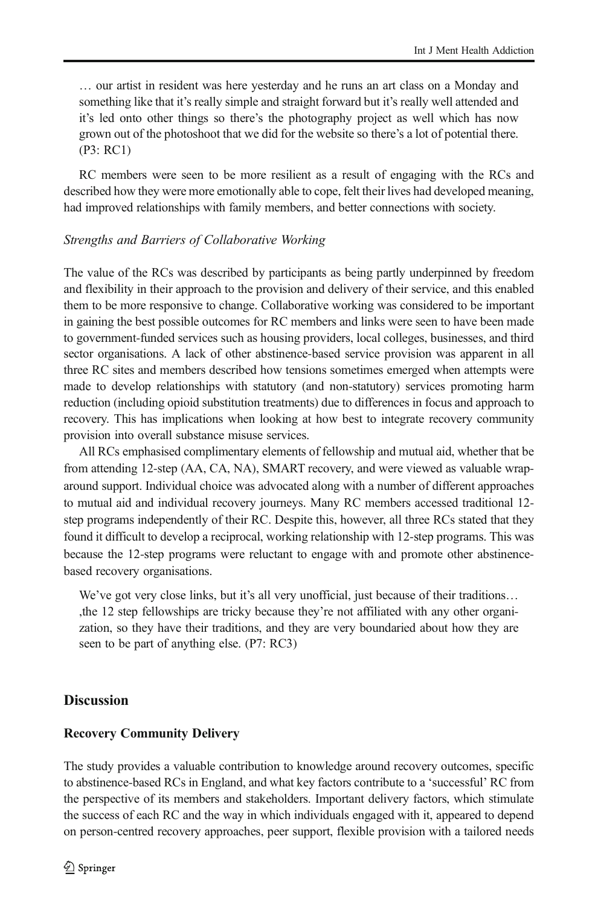… our artist in resident was here yesterday and he runs an art class on a Monday and something like that it's really simple and straight forward but it's really well attended and it's led onto other things so there's the photography project as well which has now grown out of the photoshoot that we did for the website so there's a lot of potential there. (P3: RC1)

RC members were seen to be more resilient as a result of engaging with the RCs and described how they were more emotionally able to cope, felt their lives had developed meaning, had improved relationships with family members, and better connections with society.

#### Strengths and Barriers of Collaborative Working

The value of the RCs was described by participants as being partly underpinned by freedom and flexibility in their approach to the provision and delivery of their service, and this enabled them to be more responsive to change. Collaborative working was considered to be important in gaining the best possible outcomes for RC members and links were seen to have been made to government-funded services such as housing providers, local colleges, businesses, and third sector organisations. A lack of other abstinence-based service provision was apparent in all three RC sites and members described how tensions sometimes emerged when attempts were made to develop relationships with statutory (and non-statutory) services promoting harm reduction (including opioid substitution treatments) due to differences in focus and approach to recovery. This has implications when looking at how best to integrate recovery community provision into overall substance misuse services.

All RCs emphasised complimentary elements of fellowship and mutual aid, whether that be from attending 12-step (AA, CA, NA), SMART recovery, and were viewed as valuable wraparound support. Individual choice was advocated along with a number of different approaches to mutual aid and individual recovery journeys. Many RC members accessed traditional 12 step programs independently of their RC. Despite this, however, all three RCs stated that they found it difficult to develop a reciprocal, working relationship with 12-step programs. This was because the 12-step programs were reluctant to engage with and promote other abstinencebased recovery organisations.

We've got very close links, but it's all very unofficial, just because of their traditions... ,the 12 step fellowships are tricky because they're not affiliated with any other organization, so they have their traditions, and they are very boundaried about how they are seen to be part of anything else. (P7: RC3)

## **Discussion**

#### Recovery Community Delivery

The study provides a valuable contribution to knowledge around recovery outcomes, specific to abstinence-based RCs in England, and what key factors contribute to a 'successful' RC from the perspective of its members and stakeholders. Important delivery factors, which stimulate the success of each RC and the way in which individuals engaged with it, appeared to depend on person-centred recovery approaches, peer support, flexible provision with a tailored needs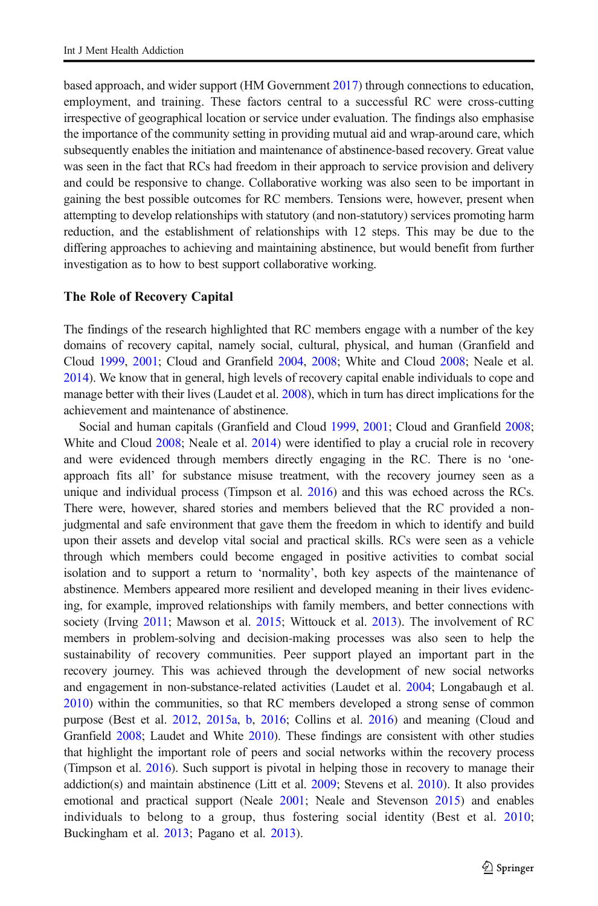based approach, and wider support (HM Government [2017](#page-15-0)) through connections to education, employment, and training. These factors central to a successful RC were cross-cutting irrespective of geographical location or service under evaluation. The findings also emphasise the importance of the community setting in providing mutual aid and wrap-around care, which subsequently enables the initiation and maintenance of abstinence-based recovery. Great value was seen in the fact that RCs had freedom in their approach to service provision and delivery and could be responsive to change. Collaborative working was also seen to be important in gaining the best possible outcomes for RC members. Tensions were, however, present when attempting to develop relationships with statutory (and non-statutory) services promoting harm reduction, and the establishment of relationships with 12 steps. This may be due to the differing approaches to achieving and maintaining abstinence, but would benefit from further investigation as to how to best support collaborative working.

#### The Role of Recovery Capital

The findings of the research highlighted that RC members engage with a number of the key domains of recovery capital, namely social, cultural, physical, and human (Granfield and Cloud [1999,](#page-15-0) [2001](#page-15-0); Cloud and Granfield [2004](#page-15-0), [2008;](#page-15-0) White and Cloud [2008](#page-17-0); Neale et al. [2014](#page-16-0)). We know that in general, high levels of recovery capital enable individuals to cope and manage better with their lives (Laudet et al. [2008\)](#page-16-0), which in turn has direct implications for the achievement and maintenance of abstinence.

Social and human capitals (Granfield and Cloud [1999,](#page-15-0) [2001;](#page-15-0) Cloud and Granfield [2008](#page-15-0); White and Cloud [2008](#page-17-0); Neale et al. [2014\)](#page-16-0) were identified to play a crucial role in recovery and were evidenced through members directly engaging in the RC. There is no 'oneapproach fits all' for substance misuse treatment, with the recovery journey seen as a unique and individual process (Timpson et al. [2016\)](#page-17-0) and this was echoed across the RCs. There were, however, shared stories and members believed that the RC provided a nonjudgmental and safe environment that gave them the freedom in which to identify and build upon their assets and develop vital social and practical skills. RCs were seen as a vehicle through which members could become engaged in positive activities to combat social isolation and to support a return to 'normality', both key aspects of the maintenance of abstinence. Members appeared more resilient and developed meaning in their lives evidencing, for example, improved relationships with family members, and better connections with society (Irving [2011;](#page-15-0) Mawson et al. [2015;](#page-16-0) Wittouck et al. [2013](#page-17-0)). The involvement of RC members in problem-solving and decision-making processes was also seen to help the sustainability of recovery communities. Peer support played an important part in the recovery journey. This was achieved through the development of new social networks and engagement in non-substance-related activities (Laudet et al. [2004](#page-16-0); Longabaugh et al. [2010](#page-16-0)) within the communities, so that RC members developed a strong sense of common purpose (Best et al. [2012](#page-14-0), [2015a](#page-14-0), [b](#page-14-0), [2016](#page-14-0); Collins et al. [2016](#page-15-0)) and meaning (Cloud and Granfield [2008](#page-15-0); Laudet and White [2010](#page-15-0)). These findings are consistent with other studies that highlight the important role of peers and social networks within the recovery process (Timpson et al. [2016\)](#page-17-0). Such support is pivotal in helping those in recovery to manage their addiction(s) and maintain abstinence (Litt et al. [2009](#page-16-0); Stevens et al. [2010\)](#page-16-0). It also provides emotional and practical support (Neale [2001](#page-16-0); Neale and Stevenson [2015](#page-16-0)) and enables individuals to belong to a group, thus fostering social identity (Best et al. [2010](#page-14-0); Buckingham et al. [2013](#page-15-0); Pagano et al. [2013](#page-16-0)).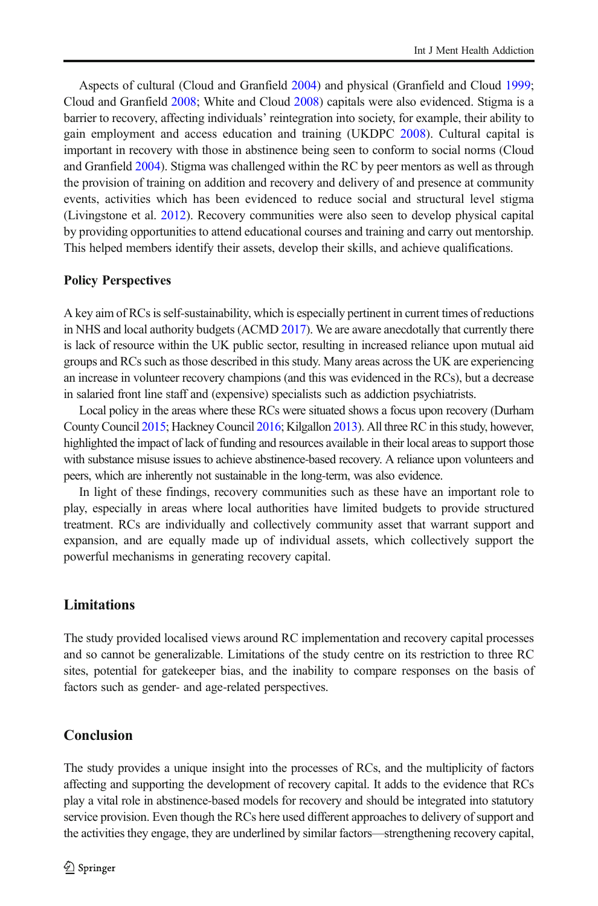Aspects of cultural (Cloud and Granfield [2004\)](#page-15-0) and physical (Granfield and Cloud [1999](#page-15-0); Cloud and Granfield [2008](#page-15-0); White and Cloud [2008\)](#page-17-0) capitals were also evidenced. Stigma is a barrier to recovery, affecting individuals' reintegration into society, for example, their ability to gain employment and access education and training (UKDPC [2008](#page-17-0)). Cultural capital is important in recovery with those in abstinence being seen to conform to social norms (Cloud and Granfield [2004\)](#page-15-0). Stigma was challenged within the RC by peer mentors as well as through the provision of training on addition and recovery and delivery of and presence at community events, activities which has been evidenced to reduce social and structural level stigma (Livingstone et al. [2012\)](#page-16-0). Recovery communities were also seen to develop physical capital by providing opportunities to attend educational courses and training and carry out mentorship. This helped members identify their assets, develop their skills, and achieve qualifications.

### Policy Perspectives

A key aim of RCs is self-sustainability, which is especially pertinent in current times of reductions in NHS and local authority budgets (ACMD [2017](#page-14-0)). We are aware anecdotally that currently there is lack of resource within the UK public sector, resulting in increased reliance upon mutual aid groups and RCs such as those described in this study. Many areas across the UK are experiencing an increase in volunteer recovery champions (and this was evidenced in the RCs), but a decrease in salaried front line staff and (expensive) specialists such as addiction psychiatrists.

Local policy in the areas where these RCs were situated shows a focus upon recovery (Durham County Council [2015;](#page-15-0) Hackney Council [2016](#page-15-0); Kilgallon [2013\)](#page-15-0). All three RC in this study, however, highlighted the impact of lack of funding and resources available in their local areas to support those with substance misuse issues to achieve abstinence-based recovery. A reliance upon volunteers and peers, which are inherently not sustainable in the long-term, was also evidence.

In light of these findings, recovery communities such as these have an important role to play, especially in areas where local authorities have limited budgets to provide structured treatment. RCs are individually and collectively community asset that warrant support and expansion, and are equally made up of individual assets, which collectively support the powerful mechanisms in generating recovery capital.

## **Limitations**

The study provided localised views around RC implementation and recovery capital processes and so cannot be generalizable. Limitations of the study centre on its restriction to three RC sites, potential for gatekeeper bias, and the inability to compare responses on the basis of factors such as gender- and age-related perspectives.

## Conclusion

The study provides a unique insight into the processes of RCs, and the multiplicity of factors affecting and supporting the development of recovery capital. It adds to the evidence that RCs play a vital role in abstinence-based models for recovery and should be integrated into statutory service provision. Even though the RCs here used different approaches to delivery of support and the activities they engage, they are underlined by similar factors—strengthening recovery capital,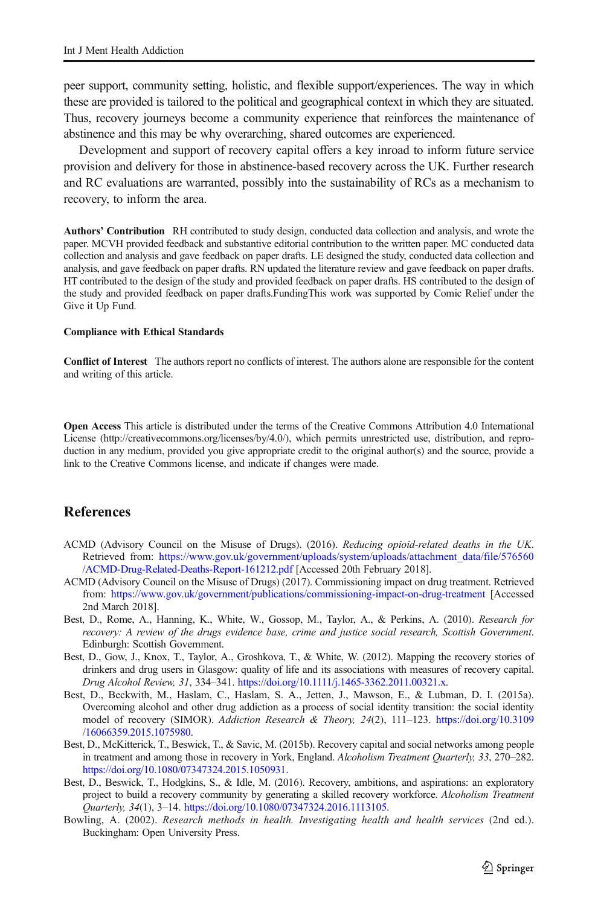<span id="page-14-0"></span>peer support, community setting, holistic, and flexible support/experiences. The way in which these are provided is tailored to the political and geographical context in which they are situated. Thus, recovery journeys become a community experience that reinforces the maintenance of abstinence and this may be why overarching, shared outcomes are experienced.

Development and support of recovery capital offers a key inroad to inform future service provision and delivery for those in abstinence-based recovery across the UK. Further research and RC evaluations are warranted, possibly into the sustainability of RCs as a mechanism to recovery, to inform the area.

Authors' Contribution RH contributed to study design, conducted data collection and analysis, and wrote the paper. MCVH provided feedback and substantive editorial contribution to the written paper. MC conducted data collection and analysis and gave feedback on paper drafts. LE designed the study, conducted data collection and analysis, and gave feedback on paper drafts. RN updated the literature review and gave feedback on paper drafts. HT contributed to the design of the study and provided feedback on paper drafts. HS contributed to the design of the study and provided feedback on paper drafts.FundingThis work was supported by Comic Relief under the Give it Up Fund.

#### Compliance with Ethical Standards

Conflict of Interest The authors report no conflicts of interest. The authors alone are responsible for the content and writing of this article.

Open Access This article is distributed under the terms of the Creative Commons Attribution 4.0 International License (http://creativecommons.org/licenses/by/4.0/), which permits unrestricted use, distribution, and reproduction in any medium, provided you give appropriate credit to the original author(s) and the source, provide a link to the Creative Commons license, and indicate if changes were made.

#### References

- ACMD (Advisory Council on the Misuse of Drugs). (2016). Reducing opioid-related deaths in the UK. Retrieved from: [https://www.gov.uk/government/uploads/system/uploads/attachment\\_data/file/576560](https://www.gov.uk/government/uploads/system/uploads/attachment_data/file/576560/ACMD-Drug-Related-Deaths-Report-161212.pdf) [/ACMD-Drug-Related-Deaths-Report-161212.pdf](https://www.gov.uk/government/uploads/system/uploads/attachment_data/file/576560/ACMD-Drug-Related-Deaths-Report-161212.pdf) [Accessed 20th February 2018].
- ACMD (Advisory Council on the Misuse of Drugs) (2017). Commissioning impact on drug treatment. Retrieved from: <https://www.gov.uk/government/publications/commissioning-impact-on-drug-treatment> [Accessed 2nd March 2018].
- Best, D., Rome, A., Hanning, K., White, W., Gossop, M., Taylor, A., & Perkins, A. (2010). Research for recovery: A review of the drugs evidence base, crime and justice social research, Scottish Government. Edinburgh: Scottish Government.
- Best, D., Gow, J., Knox, T., Taylor, A., Groshkova, T., & White, W. (2012). Mapping the recovery stories of drinkers and drug users in Glasgow: quality of life and its associations with measures of recovery capital. Drug Alcohol Review, 31, 334–341. [https://doi.org/10.1111/j.1465-3362.2011.00321.x.](https://doi.org/10.1111/j.1465-3362.2011.00321.x)
- Best, D., Beckwith, M., Haslam, C., Haslam, S. A., Jetten, J., Mawson, E., & Lubman, D. I. (2015a). Overcoming alcohol and other drug addiction as a process of social identity transition: the social identity model of recovery (SIMOR). Addiction Research & Theory, 24(2), 111–123. [https://doi.org/10.3109](https://doi.org/10.3109/16066359.2015.1075980) [/16066359.2015.1075980](https://doi.org/10.3109/16066359.2015.1075980).
- Best, D., McKitterick, T., Beswick, T., & Savic, M. (2015b). Recovery capital and social networks among people in treatment and among those in recovery in York, England. Alcoholism Treatment Quarterly, 33, 270–282. <https://doi.org/10.1080/07347324.2015.1050931>.
- Best, D., Beswick, T., Hodgkins, S., & Idle, M. (2016). Recovery, ambitions, and aspirations: an exploratory project to build a recovery community by generating a skilled recovery workforce. Alcoholism Treatment Quarterly, 34(1), 3–14. <https://doi.org/10.1080/07347324.2016.1113105>.
- Bowling, A. (2002). Research methods in health. Investigating health and health services (2nd ed.). Buckingham: Open University Press.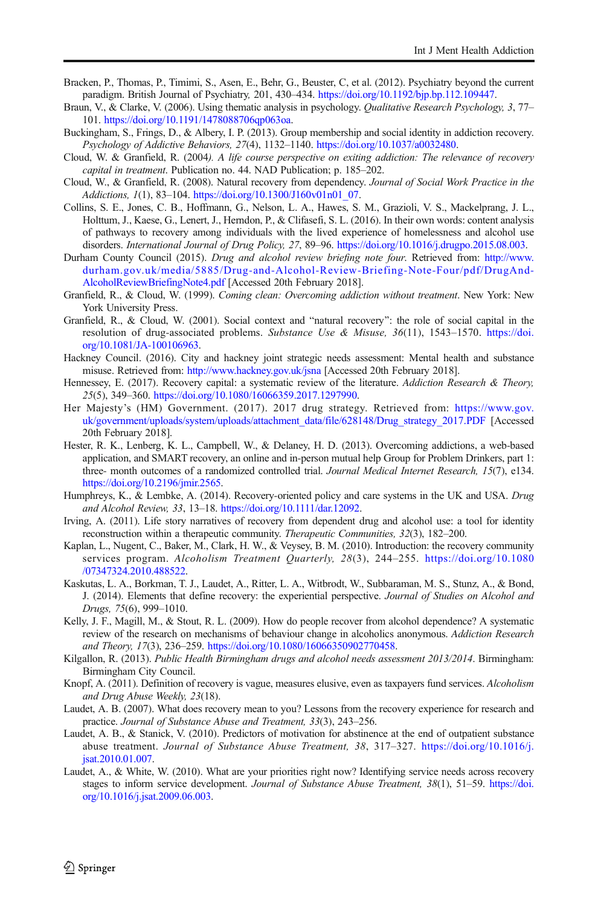- <span id="page-15-0"></span>Bracken, P., Thomas, P., Timimi, S., Asen, E., Behr, G., Beuster, C, et al. (2012). Psychiatry beyond the current paradigm. British Journal of Psychiatry, 201, 430–434. [https://doi.org/10.1192/bjp.bp.112.109447.](https://doi.org/10.1192/bjp.bp.112.109447)
- Braun, V., & Clarke, V. (2006). Using thematic analysis in psychology. Qualitative Research Psychology, 3, 77-101. [https://doi.org/10.1191/1478088706qp063oa.](https://doi.org/10.1191/1478088706qp063oa)
- Buckingham, S., Frings, D., & Albery, I. P. (2013). Group membership and social identity in addiction recovery. Psychology of Addictive Behaviors, 27(4), 1132–1140. <https://doi.org/10.1037/a0032480>.
- Cloud, W. & Granfield, R. (2004). A life course perspective on exiting addiction: The relevance of recovery capital in treatment. Publication no. 44. NAD Publication; p. 185–202.
- Cloud, W., & Granfield, R. (2008). Natural recovery from dependency. Journal of Social Work Practice in the Addictions, 1(1), 83-104. [https://doi.org/10.1300/J160v01n01\\_07.](https://doi.org/10.1300/J160v01n01_07)
- Collins, S. E., Jones, C. B., Hoffmann, G., Nelson, L. A., Hawes, S. M., Grazioli, V. S., Mackelprang, J. L., Holttum, J., Kaese, G., Lenert, J., Herndon, P., & Clifasefi, S. L. (2016). In their own words: content analysis of pathways to recovery among individuals with the lived experience of homelessness and alcohol use disorders. International Journal of Drug Policy, 27, 89–96. <https://doi.org/10.1016/j.drugpo.2015.08.003>.
- Durham County Council (2015). Drug and alcohol review briefing note four. Retrieved from: [http://www.](https://doi.org/) [durham.gov.uk/media/5885/Drug-and-Alcohol-Review-Briefing-Note-Four/pdf/DrugAnd-](https://doi.org/)[AlcoholReviewBriefingNote4.pdf](https://doi.org/) [Accessed 20th February 2018].
- Granfield, R., & Cloud, W. (1999). Coming clean: Overcoming addiction without treatment. New York: New York University Press.
- Granfield, R., & Cloud, W. (2001). Social context and "natural recovery": the role of social capital in the resolution of drug-associated problems. Substance Use & Misuse, 36(11), 1543–1570. [https://doi.](https://doi.org/10.1081/JA-100106963) [org/10.1081/JA-100106963.](https://doi.org/10.1081/JA-100106963)
- Hackney Council. (2016). City and hackney joint strategic needs assessment: Mental health and substance misuse. Retrieved from: <http://www.hackney.gov.uk/jsna> [Accessed 20th February 2018].
- Hennessey, E. (2017). Recovery capital: a systematic review of the literature. Addiction Research & Theory, 25(5), 349–360. <https://doi.org/10.1080/16066359.2017.1297990>.
- Her Majesty's (HM) Government. (2017). 2017 drug strategy. Retrieved from: [https://www.gov.](https://www.gov.uk/government/uploads/system/uploads/attachment_data/file/628148/Drug_strategy_2017.PDF) [uk/government/uploads/system/uploads/attachment\\_data/file/628148/Drug\\_strategy\\_2017.PDF](https://www.gov.uk/government/uploads/system/uploads/attachment_data/file/628148/Drug_strategy_2017.PDF) [Accessed 20th February 2018].
- Hester, R. K., Lenberg, K. L., Campbell, W., & Delaney, H. D. (2013). Overcoming addictions, a web-based application, and SMART recovery, an online and in-person mutual help Group for Problem Drinkers, part 1: three- month outcomes of a randomized controlled trial. Journal Medical Internet Research, 15(7), e134. <https://doi.org/10.2196/jmir.2565>.
- Humphreys, K., & Lembke, A. (2014). Recovery-oriented policy and care systems in the UK and USA. Drug and Alcohol Review, 33, 13–18. <https://doi.org/10.1111/dar.12092>.
- Irving, A. (2011). Life story narratives of recovery from dependent drug and alcohol use: a tool for identity reconstruction within a therapeutic community. Therapeutic Communities, 32(3), 182–200.
- Kaplan, L., Nugent, C., Baker, M., Clark, H. W., & Veysey, B. M. (2010). Introduction: the recovery community services program. Alcoholism Treatment Quarterly, 28(3), 244–255. [https://doi.org/10.1080](https://doi.org/10.1080/07347324.2010.488522) [/07347324.2010.488522](https://doi.org/10.1080/07347324.2010.488522).
- Kaskutas, L. A., Borkman, T. J., Laudet, A., Ritter, L. A., Witbrodt, W., Subbaraman, M. S., Stunz, A., & Bond, J. (2014). Elements that define recovery: the experiential perspective. Journal of Studies on Alcohol and Drugs, 75(6), 999–1010.
- Kelly, J. F., Magill, M., & Stout, R. L. (2009). How do people recover from alcohol dependence? A systematic review of the research on mechanisms of behaviour change in alcoholics anonymous. Addiction Research and Theory, 17(3), 236–259. <https://doi.org/10.1080/16066350902770458>.
- Kilgallon, R. (2013). Public Health Birmingham drugs and alcohol needs assessment 2013/2014. Birmingham: Birmingham City Council.
- Knopf, A. (2011). Definition of recovery is vague, measures elusive, even as taxpayers fund services. Alcoholism and Drug Abuse Weekly, 23(18).
- Laudet, A. B. (2007). What does recovery mean to you? Lessons from the recovery experience for research and practice. Journal of Substance Abuse and Treatment, 33(3), 243–256.
- Laudet, A. B., & Stanick, V. (2010). Predictors of motivation for abstinence at the end of outpatient substance abuse treatment. Journal of Substance Abuse Treatment, 38, 317–327. [https://doi.org/10.1016/j.](https://doi.org/10.1016/j.jsat.2010.01.007) [jsat.2010.01.007.](https://doi.org/10.1016/j.jsat.2010.01.007)
- Laudet, A., & White, W. (2010). What are your priorities right now? Identifying service needs across recovery stages to inform service development. Journal of Substance Abuse Treatment, 38(1), 51–59. [https://doi.](https://doi.org/10.1016/j.jsat.2009.06.003) [org/10.1016/j.jsat.2009.06.003](https://doi.org/10.1016/j.jsat.2009.06.003).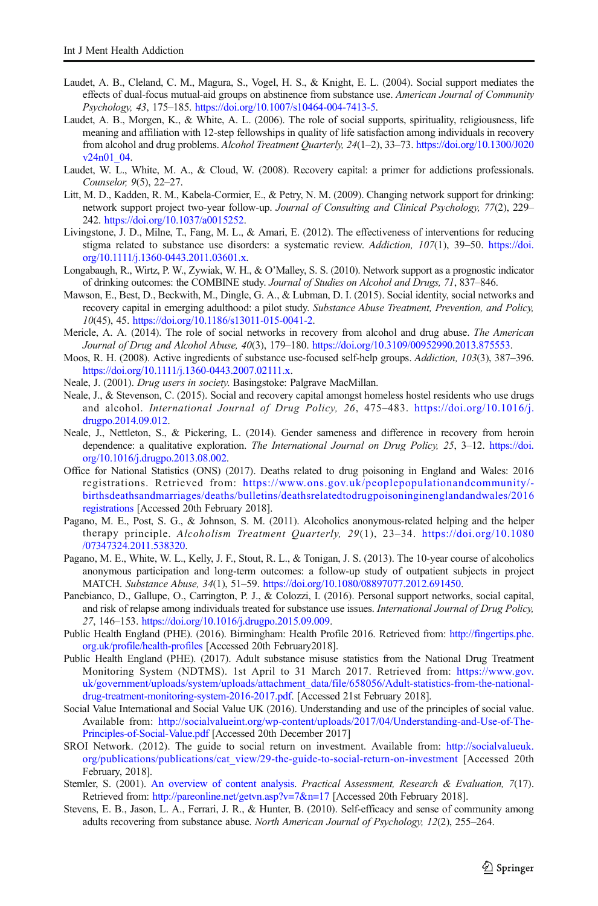- <span id="page-16-0"></span>Laudet, A. B., Cleland, C. M., Magura, S., Vogel, H. S., & Knight, E. L. (2004). Social support mediates the effects of dual-focus mutual-aid groups on abstinence from substance use. American Journal of Community Psychology, 43, 175–185. <https://doi.org/10.1007/s10464-004-7413-5>.
- Laudet, A. B., Morgen, K., & White, A. L. (2006). The role of social supports, spirituality, religiousness, life meaning and affiliation with 12-step fellowships in quality of life satisfaction among individuals in recovery from alcohol and drug problems. Alcohol Treatment Quarterly, 24(1–2), 33–73. [https://doi.org/10.1300/J020](https://doi.org/10.1300/J020v24n01_04)  $v24n01$  04.
- Laudet, W. L., White, M. A., & Cloud, W. (2008). Recovery capital: a primer for addictions professionals. Counselor, 9(5), 22–27.
- Litt, M. D., Kadden, R. M., Kabela-Cormier, E., & Petry, N. M. (2009). Changing network support for drinking: network support project two-year follow-up. Journal of Consulting and Clinical Psychology, 77(2), 229– 242. <https://doi.org/10.1037/a0015252>.
- Livingstone, J. D., Milne, T., Fang, M. L., & Amari, E. (2012). The effectiveness of interventions for reducing stigma related to substance use disorders: a systematic review. Addiction, 107(1), 39-50. [https://doi.](https://doi.org/10.1111/j.1360-0443.2011.03601.x) [org/10.1111/j.1360-0443.2011.03601.x.](https://doi.org/10.1111/j.1360-0443.2011.03601.x)
- Longabaugh, R., Wirtz, P. W., Zywiak, W. H., & O'Malley, S. S. (2010). Network support as a prognostic indicator of drinking outcomes: the COMBINE study. Journal of Studies on Alcohol and Drugs, 71, 837–846.
- Mawson, E., Best, D., Beckwith, M., Dingle, G. A., & Lubman, D. I. (2015). Social identity, social networks and recovery capital in emerging adulthood: a pilot study. Substance Abuse Treatment, Prevention, and Policy, 10(45), 45. [https://doi.org/10.1186/s13011-015-0041-2.](https://doi.org/10.1186/s13011-015-0041-2)
- Mericle, A. A. (2014). The role of social networks in recovery from alcohol and drug abuse. The American Journal of Drug and Alcohol Abuse, 40(3), 179–180. <https://doi.org/10.3109/00952990.2013.875553>.
- Moos, R. H. (2008). Active ingredients of substance use-focused self-help groups. Addiction, 103(3), 387–396. <https://doi.org/10.1111/j.1360-0443.2007.02111.x>.
- Neale, J. (2001). *Drug users in society*. Basingstoke: Palgrave MacMillan.
- Neale, J., & Stevenson, C. (2015). Social and recovery capital amongst homeless hostel residents who use drugs and alcohol. International Journal of Drug Policy, 26, 475–483. [https://doi.org/10.1016/j.](https://doi.org/10.1016/j.drugpo.2014.09.012) [drugpo.2014.09.012](https://doi.org/10.1016/j.drugpo.2014.09.012).
- Neale, J., Nettleton, S., & Pickering, L. (2014). Gender sameness and difference in recovery from heroin dependence: a qualitative exploration. The International Journal on Drug Policy, 25, 3-12. [https://doi.](https://doi.org/10.1016/j.drugpo.2013.08.002) [org/10.1016/j.drugpo.2013.08.002](https://doi.org/10.1016/j.drugpo.2013.08.002).
- Office for National Statistics (ONS) (2017). Deaths related to drug poisoning in England and Wales: 2016 registrations. Retrieved from: [https://www.ons.gov.uk/peoplepopulationandcommunity/](https://doi.org/) [birthsdeathsandmarriages/deaths/bulletins/deathsrelatedtodrugpoisoninginenglandandwales/2016](https://doi.org/) [registrations](https://doi.org/) [Accessed 20th February 2018].
- Pagano, M. E., Post, S. G., & Johnson, S. M. (2011). Alcoholics anonymous-related helping and the helper therapy principle. Alcoholism Treatment Quarterly, 29(1), 23–34. [https://doi.org/10.1080](https://doi.org/10.1080/07347324.2011.538320) [/07347324.2011.538320](https://doi.org/10.1080/07347324.2011.538320).
- Pagano, M. E., White, W. L., Kelly, J. F., Stout, R. L., & Tonigan, J. S. (2013). The 10-year course of alcoholics anonymous participation and long-term outcomes: a follow-up study of outpatient subjects in project MATCH. Substance Abuse, 34(1), 51–59. [https://doi.org/10.1080/08897077.2012.691450.](https://doi.org/10.1080/08897077.2012.691450)
- Panebianco, D., Gallupe, O., Carrington, P. J., & Colozzi, I. (2016). Personal support networks, social capital, and risk of relapse among individuals treated for substance use issues. International Journal of Drug Policy, 27, 146–153. <https://doi.org/10.1016/j.drugpo.2015.09.009>.
- Public Health England (PHE). (2016). Birmingham: Health Profile 2016. Retrieved from: [http://fingertips.phe.](http://fingertips.phe.org.uk/profile/health-profiles) [org.uk/profile/health-profiles](http://fingertips.phe.org.uk/profile/health-profiles) [Accessed 20th February2018].
- Public Health England (PHE). (2017). Adult substance misuse statistics from the National Drug Treatment Monitoring System (NDTMS). 1st April to 31 March 2017. Retrieved from: [https://www.gov.](https://www.gov.uk/government/uploads/system/uploads/attachment_data/file/658056/Adult-statistics-from-the-national-drug-treatment-monitoring-system-2016-2017.pdf) [uk/government/uploads/system/uploads/attachment\\_data/file/658056/Adult-statistics-from-the-national](https://www.gov.uk/government/uploads/system/uploads/attachment_data/file/658056/Adult-statistics-from-the-national-drug-treatment-monitoring-system-2016-2017.pdf)[drug-treatment-monitoring-system-2016-2017.pdf](https://www.gov.uk/government/uploads/system/uploads/attachment_data/file/658056/Adult-statistics-from-the-national-drug-treatment-monitoring-system-2016-2017.pdf). [Accessed 21st February 2018].
- Social Value International and Social Value UK (2016). Understanding and use of the principles of social value. Available from: [http://socialvalueint.org/wp-content/uploads/2017/04/Understanding-and-Use-of-The-](http://socialvalueint.org/wp-content/uploads/2017/04/Understanding-and-Use-of-The-Principles-of-Social-Value.pdf)[Principles-of-Social-Value.pdf](http://socialvalueint.org/wp-content/uploads/2017/04/Understanding-and-Use-of-The-Principles-of-Social-Value.pdf) [Accessed 20th December 2017]
- SROI Network. (2012). The guide to social return on investment. Available from: [http://socialvalueuk.](http://socialvalueuk.org/publications/publications/cat_view/29-the-guide-to-social-return-on-investment) [org/publications/publications/cat\\_view/29-the-guide-to-social-return-on-investment](http://socialvalueuk.org/publications/publications/cat_view/29-the-guide-to-social-return-on-investment) [Accessed 20th February, 2018].
- Stemler, S. (2001). [An overview of content analysis](http://pareonline.net/getvn.asp?v=7&n=17). Practical Assessment, Research & Evaluation, 7(17). Retrieved from: <http://pareonline.net/getvn.asp?v=7&n=17> [Accessed 20th February 2018].
- Stevens, E. B., Jason, L. A., Ferrari, J. R., & Hunter, B. (2010). Self-efficacy and sense of community among adults recovering from substance abuse. North American Journal of Psychology, 12(2), 255–264.